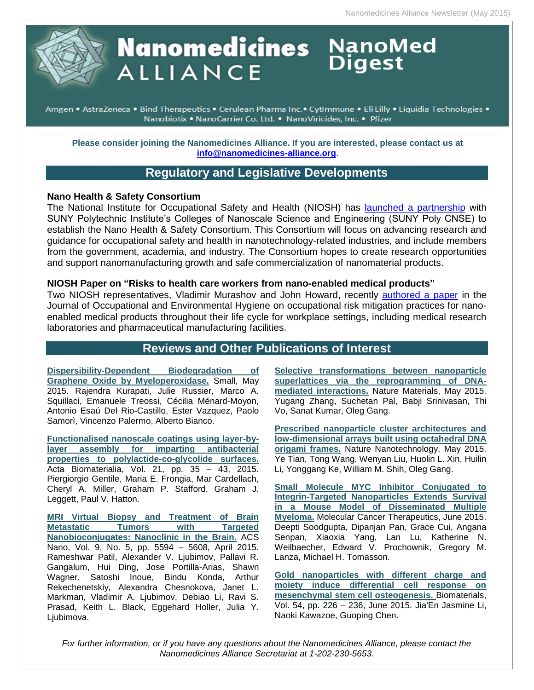# **Nanomedicines** NanoMed **ALLIANCE**

• Amgen • AstraZeneca • Bind Therapeutics • Cerulean Pharma Inc. • CytImmune • Eli Lilly • Liquidia Technologies Nanobiotix . NanoCarrier Co. Ltd. . NanoViricides, Inc. . Pfizer

**Please consider joining the Nanomedicines Alliance. If you are interested, please contact us at [info@nanomedicines-alliance.org.](file:///C:/NRPortbl/ACTIVE/ROBERTAF/info@nanomedicines-alliance.org)**

# **Regulatory and Legislative Developments**

### **Nano Health & Safety Consortium**

The National Institute for Occupational Safety and Health (NIOSH) has [launched a partnership](http://www.cdc.gov/niosh/updates/upd-05-20-15.html) with SUNY Polytechnic Institute's Colleges of Nanoscale Science and Engineering (SUNY Poly CNSE) to establish the Nano Health & Safety Consortium. This Consortium will focus on advancing research and guidance for occupational safety and health in nanotechnology-related industries, and include members from the government, academia, and industry. The Consortium hopes to create research opportunities and support nanomanufacturing growth and safe commercialization of nanomaterial products.

### **NIOSH Paper on "Risks to health care workers from nano-enabled medical products"**

Two NIOSH representatives, Vladimir Murashov and John Howard, recently [authored a paper](http://www.ncbi.nlm.nih.gov/pubmed/25950806) in the Journal of Occupational and Environmental Hygiene on occupational risk mitigation practices for nanoenabled medical products throughout their life cycle for workplace settings, including medical research laboratories and pharmaceutical manufacturing facilities.

## **Reviews and Other Publications of Interest**

**[Dispersibility-Dependent Biodegradation of](http://onlinelibrary.wiley.com/doi/10.1002/smll.201500038/abstract;jsessionid=785ECB158199D1EBB9A108B1F9EB7A65.f01t01)  [Graphene Oxide by Myeloperoxidase.](http://onlinelibrary.wiley.com/doi/10.1002/smll.201500038/abstract;jsessionid=785ECB158199D1EBB9A108B1F9EB7A65.f01t01)** Small, May 2015. Rajendra Kurapati, Julie Russier, Marco A. Squillaci, Emanuele Treossi, Cécilia Ménard-Moyon, Antonio Esaú Del Rio-Castillo, Ester Vazquez, Paolo Samorì, Vincenzo Palermo, Alberto Bianco.

**[Functionalised nanoscale coatings using layer-by](http://www.sciencedirect.com/science/article/pii/S1742706115001713)[layer assembly for imparting antibacterial](http://www.sciencedirect.com/science/article/pii/S1742706115001713)  [properties to polylactide-co-glycolide surfaces.](http://www.sciencedirect.com/science/article/pii/S1742706115001713)** Acta Biomaterialia, Vol. 21, pp. 35 – 43, 2015. Piergiorgio Gentile, Maria E. Frongia, Mar Cardellach, Cheryl A. Miller, Graham P. Stafford, Graham J. Leggett, Paul V. Hatton.

**[MRI Virtual Biopsy and Treatment of Brain](http://pubs.acs.org/doi/abs/10.1021/acsnano.5b01872)  [Metastatic Tumors with Targeted](http://pubs.acs.org/doi/abs/10.1021/acsnano.5b01872)  [Nanobioconjugates: Nanoclinic in the Brain.](http://pubs.acs.org/doi/abs/10.1021/acsnano.5b01872)** ACS Nano, Vol. 9, No. 5, pp. 5594 – 5608, April 2015. Rameshwar Patil, Alexander V. Ljubimov, Pallavi R. Gangalum, Hui Ding, Jose Portilla-Arias, Shawn Wagner, Satoshi Inoue, Bindu Konda, Arthur Rekechenetskiy, Alexandra Chesnokova, Janet L. Markman, Vladimir A. Ljubimov, Debiao Li, Ravi S. Prasad, Keith L. Black, Eggehard Holler, Julia Y. Ljubimova.

**[Selective transformations between nanoparticle](http://www.nature.com/nmat/journal/vaop/ncurrent/full/nmat4296.html)  [superlattices via the reprogramming of DNA](http://www.nature.com/nmat/journal/vaop/ncurrent/full/nmat4296.html)[mediated interactions.](http://www.nature.com/nmat/journal/vaop/ncurrent/full/nmat4296.html)** Nature Materials, May 2015. Yugang Zhang, Suchetan Pal, Babji Srinivasan, Thi Vo, Sanat Kumar, Oleg Gang.

**[Prescribed nanoparticle cluster architectures and](http://www.nature.com/nnano/journal/vaop/ncurrent/full/nnano.2015.105.html)  [low-dimensional arrays built using octahedral DNA](http://www.nature.com/nnano/journal/vaop/ncurrent/full/nnano.2015.105.html)  [origami frames.](http://www.nature.com/nnano/journal/vaop/ncurrent/full/nnano.2015.105.html)** Nature Nanotechnology, May 2015. Ye Tian, Tong Wang, Wenyan Liu, Huolin L. Xin, Huilin Li, Yonggang Ke, William M. Shih, Oleg Gang.

**[Small Molecule MYC Inhibitor Conjugated to](http://mct.aacrjournals.org/content/14/6/1286)  [Integrin-Targeted Nanoparticles Extends Survival](http://mct.aacrjournals.org/content/14/6/1286)  [in a Mouse Model of Disseminated Multiple](http://mct.aacrjournals.org/content/14/6/1286)  [Myeloma.](http://mct.aacrjournals.org/content/14/6/1286)** Molecular Cancer Therapeutics, June 2015. Deepti Soodgupta, Dipanjan Pan, Grace Cui, Angana Senpan, Xiaoxia Yang, Lan Lu, Katherine N. Weilbaecher, Edward V. Prochownik, Gregory M. Lanza, Michael H. Tomasson.

**[Gold nanoparticles with different charge and](http://www.sciencedirect.com/science/article/pii/S0142961215002653)  [moiety induce differential cell response on](http://www.sciencedirect.com/science/article/pii/S0142961215002653)  [mesenchymal stem cell osteogenesis.](http://www.sciencedirect.com/science/article/pii/S0142961215002653)** Biomaterials, Vol. 54, pp. 226 – 236, June 2015. Jia'En Jasmine Li, Naoki Kawazoe, Guoping Chen.

*For further information, or if you have any questions about the Nanomedicines Alliance, please contact the Nanomedicines Alliance Secretariat at 1-202-230-5653.*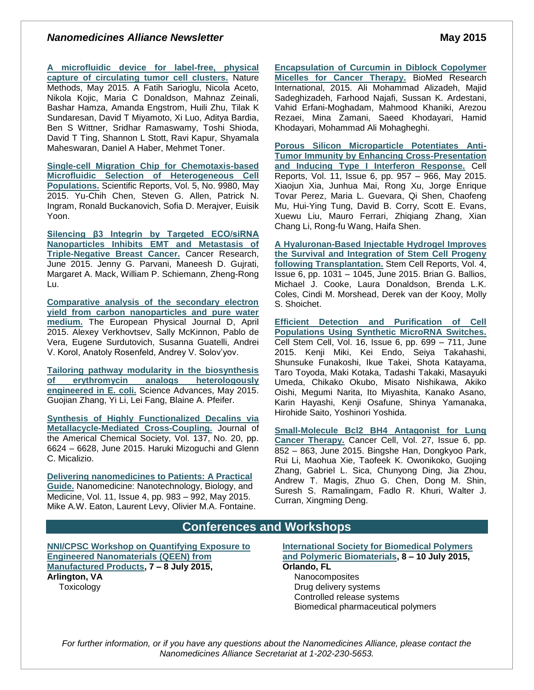### *Nanomedicines Alliance Newsletter* **May 2015**

**[A microfluidic device for label-free, physical](http://www.nature.com/nmeth/journal/vaop/ncurrent/full/nmeth.3404.html)  [capture of circulating tumor cell clusters.](http://www.nature.com/nmeth/journal/vaop/ncurrent/full/nmeth.3404.html)** Nature Methods, May 2015. A Fatih Sarioglu, Nicola Aceto, Nikola Kojic, Maria C Donaldson, Mahnaz Zeinali, Bashar Hamza, Amanda Engstrom, Huili Zhu, Tilak K Sundaresan, David T Miyamoto, Xi Luo, Aditya Bardia, Ben S Wittner, Sridhar Ramaswamy, Toshi Shioda, David T Ting, Shannon L Stott, Ravi Kapur, Shyamala Maheswaran, Daniel A Haber, Mehmet Toner.

**[Single-cell Migration Chip for Chemotaxis-based](http://www.nature.com/srep/2015/150518/srep09980/full/srep09980.html)  [Microfluidic Selection of](http://www.nature.com/srep/2015/150518/srep09980/full/srep09980.html) Heterogeneous Cell [Populations.](http://www.nature.com/srep/2015/150518/srep09980/full/srep09980.html)** Scientific Reports, Vol. 5, No. 9980, May 2015. Yu-Chih Chen, Steven G. Allen, Patrick N. Ingram, Ronald Buckanovich, Sofia D. Merajver, Euisik Yoon.

**[Silencing β3 Integrin by Targeted ECO/siRNA](http://cancerres.aacrjournals.org/content/75/11/2316)  [Nanoparticles Inhibits EMT and Metastasis of](http://cancerres.aacrjournals.org/content/75/11/2316)  [Triple-Negative Breast Cancer.](http://cancerres.aacrjournals.org/content/75/11/2316)** Cancer Research, June 2015. Jenny G. Parvani, Maneesh D. Gujrati, Margaret A. Mack, William P. Schiemann, Zheng-Rong Lu.

**[Comparative analysis of the secondary electron](http://link.springer.com/article/10.1140%2Fepjd%2Fe2015-50908-y)  [yield from carbon nanoparticles and pure water](http://link.springer.com/article/10.1140%2Fepjd%2Fe2015-50908-y)  [medium.](http://link.springer.com/article/10.1140%2Fepjd%2Fe2015-50908-y)** The European Physical Journal D, April 2015. Alexey Verkhovtsev, Sally McKinnon, Pablo de Vera, Eugene Surdutovich, Susanna Guatelli, Andrei V. Korol, Anatoly Rosenfeld, Andrey V. Solov'yov.

**[Tailoring pathway modularity in the biosynthesis](http://advances.sciencemag.org/content/1/4/e1500077)  [of erythromycin analogs heterologously](http://advances.sciencemag.org/content/1/4/e1500077)  [engineered in E. coli.](http://advances.sciencemag.org/content/1/4/e1500077)** Science Advances, May 2015. Guojian Zhang, Yi Li, Lei Fang, Blaine A. Pfeifer.

**[Synthesis of Highly Functionalized Decalins via](http://pubs.acs.org/doi/abs/10.1021/jacs.5b02107)  [Metallacycle-Mediated Cross-Coupling.](http://pubs.acs.org/doi/abs/10.1021/jacs.5b02107)** Journal of the Americal Chemical Society, Vol. 137, No. 20, pp. 6624 – 6628, June 2015. Haruki Mizoguchi and Glenn C. Micalizio.

**[Delivering nanomedicines to Patients: A Practical](http://www.nanomedjournal.com/article/S1549-9634%2815%2900050-7/abstract)  [Guide.](http://www.nanomedjournal.com/article/S1549-9634%2815%2900050-7/abstract)** Nanomedicine: Nanotechnology, Biology, and Medicine, Vol. 11, Issue 4, pp. 983 – 992, May 2015. Mike A.W. Eaton, Laurent Levy, Olivier M.A. Fontaine. **[Encapsulation of Curcumin in Diblock Copolymer](http://www.hindawi.com/journals/bmri/2015/824746/)  [Micelles for Cancer Therapy.](http://www.hindawi.com/journals/bmri/2015/824746/)** BioMed Research International, 2015. Ali Mohammad Alizadeh, Majid Sadeghizadeh, Farhood Najafi, Sussan K. Ardestani, Vahid Erfani-Moghadam, Mahmood Khaniki, Arezou Rezaei, Mina Zamani, Saeed Khodayari, Hamid Khodayari, Mohammad Ali Mohagheghi.

**[Porous Silicon Microparticle Potentiates Anti-](http://www.cell.com/cell-reports/abstract/S2211-1247%2815%2900384-8?_returnURL=http%3A%2F%2Flinkinghub.elsevier.com%2Fretrieve%2Fpii%2FS2211124715003848%3Fshowall%3Dtrue)[Tumor Immunity by Enhancing Cross-Presentation](http://www.cell.com/cell-reports/abstract/S2211-1247%2815%2900384-8?_returnURL=http%3A%2F%2Flinkinghub.elsevier.com%2Fretrieve%2Fpii%2FS2211124715003848%3Fshowall%3Dtrue)  [and Inducing Type I Interferon Response.](http://www.cell.com/cell-reports/abstract/S2211-1247%2815%2900384-8?_returnURL=http%3A%2F%2Flinkinghub.elsevier.com%2Fretrieve%2Fpii%2FS2211124715003848%3Fshowall%3Dtrue)** Cell Reports, Vol. 11, Issue 6, pp. 957 – 966, May 2015. Xiaojun Xia, Junhua Mai, Rong Xu, Jorge Enrique Tovar Perez, Maria L. Guevara, Qi Shen, Chaofeng Mu, Hui-Ying Tung, David B. Corry, Scott E. Evans, Xuewu Liu, Mauro Ferrari, Zhiqiang Zhang, Xian Chang Li, Rong-fu Wang, Haifa Shen.

**[A Hyaluronan-Based Injectable Hydrogel Improves](http://www.cell.com/stem-cell-reports/abstract/S2213-6711%2815%2900120-4?_returnURL=http%3A%2F%2Flinkinghub.elsevier.com%2Fretrieve%2Fpii%2FS2213671115001204%3Fshowall%3Dtrue)  [the Survival and Integration of Stem Cell Progeny](http://www.cell.com/stem-cell-reports/abstract/S2213-6711%2815%2900120-4?_returnURL=http%3A%2F%2Flinkinghub.elsevier.com%2Fretrieve%2Fpii%2FS2213671115001204%3Fshowall%3Dtrue)  [following Transplantation.](http://www.cell.com/stem-cell-reports/abstract/S2213-6711%2815%2900120-4?_returnURL=http%3A%2F%2Flinkinghub.elsevier.com%2Fretrieve%2Fpii%2FS2213671115001204%3Fshowall%3Dtrue)** Stem Cell Reports, Vol. 4, Issue 6, pp. 1031 – 1045, June 2015. Brian G. Ballios, Michael J. Cooke, Laura Donaldson, Brenda L.K. Coles, Cindi M. Morshead, Derek van der Kooy, Molly S. Shoichet.

**[Efficient Detection and Purification of Cell](http://www.cell.com/cell-stem-cell/abstract/S1934-5909%2815%2900163-0?_returnURL=http%3A%2F%2Flinkinghub.elsevier.com%2Fretrieve%2Fpii%2FS1934590915001630%3Fshowall%3Dtrue)  [Populations Using Synthetic MicroRNA Switches.](http://www.cell.com/cell-stem-cell/abstract/S1934-5909%2815%2900163-0?_returnURL=http%3A%2F%2Flinkinghub.elsevier.com%2Fretrieve%2Fpii%2FS1934590915001630%3Fshowall%3Dtrue)** Cell Stem Cell, Vol. 16, Issue 6, pp. 699 – 711, June 2015. Kenji Miki, Kei Endo, Seiya Takahashi, Shunsuke Funakoshi, Ikue Takei, Shota Katayama, Taro Toyoda, Maki Kotaka, Tadashi Takaki, Masayuki Umeda, Chikako Okubo, Misato Nishikawa, Akiko Oishi, Megumi Narita, Ito Miyashita, Kanako Asano, Karin Hayashi, Kenji Osafune, Shinya Yamanaka, Hirohide Saito, Yoshinori Yoshida.

**[Small-Molecule Bcl2 BH4 Antagonist for Lung](http://www.cell.com/cancer-cell/abstract/S1535-6108%2815%2900143-9)  [Cancer Therapy.](http://www.cell.com/cancer-cell/abstract/S1535-6108%2815%2900143-9)** Cancer Cell, Vol. 27, Issue 6, pp. 852 – 863, June 2015. Bingshe Han, Dongkyoo Park, Rui Li, Maohua Xie, Taofeek K. Owonikoko, Guojing Zhang, Gabriel L. Sica, Chunyong Ding, Jia Zhou, Andrew T. Magis, Zhuo G. Chen, Dong M. Shin, Suresh S. Ramalingam, Fadlo R. Khuri, Walter J. Curran, Xingming Deng.

## **Conferences and Workshops**

**NNI/CPSC [Workshop on Quantifying Exposure to](http://www.nano.gov/node/1327)  [Engineered Nanomaterials \(QEEN\) from](http://www.nano.gov/node/1327)  [Manufactured Products,](http://www.nano.gov/node/1327) 7 – 8 July 2015, Arlington, VA Toxicology** 

**[International Society for Biomedical Polymers](http://isbppb.org/conferences-workshops/)  [and Polymeric Biomaterials,](http://isbppb.org/conferences-workshops/) 8 – 10 July 2015,** 

**Orlando, FL**

**Nanocomposites** Drug delivery systems Controlled release systems Biomedical pharmaceutical polymers

*For further information, or if you have any questions about the Nanomedicines Alliance, please contact the Nanomedicines Alliance Secretariat at 1-202-230-5653.*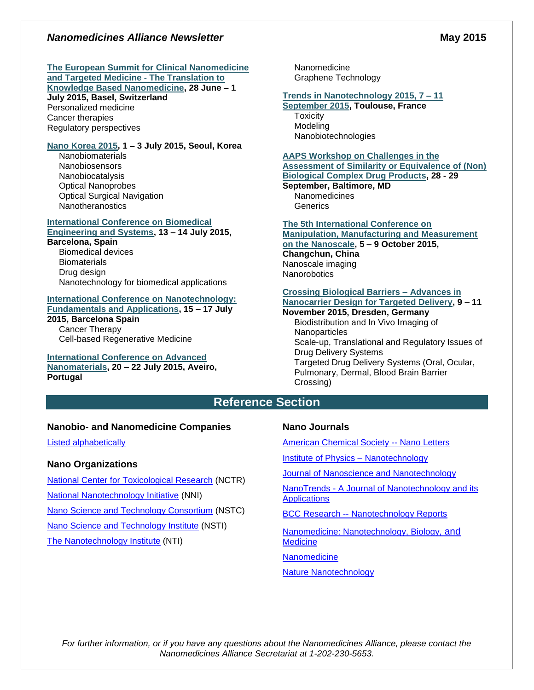### *Nanomedicines Alliance Newsletter* **May 2015**

#### **[The European Summit for Clinical Nanomedicine](https://www.clinam.org/)  [and Targeted Medicine -](https://www.clinam.org/) The Translation to**

# **[Knowledge Based Nanomedicine,](https://www.clinam.org/) 28 June – 1**

**July 2015, Basel, Switzerland** Personalized medicine Cancer therapies Regulatory perspectives

### **[Nano Korea 2015,](http://sympo.nanokorea.or.kr/2015/eng/sub2/03.php) 1 – 3 July 2015, Seoul, Korea**

**Nanobiomaterials** Nanobiosensors Nanobiocatalysis Optical Nanoprobes Optical Surgical Navigation **Nanotheranostics** 

#### **[International Conference on Biomedical](http://icbes.net/papers/)  [Engineering and Systems,](http://icbes.net/papers/) 13 – 14 July 2015,**

### **Barcelona, Spain**

Biomedical devices **Biomaterials** Drug design Nanotechnology for biomedical applications

# **[International Conference on Nanotechnology:](http://icnfa.com/)**

**[Fundamentals and Applications,](http://icnfa.com/) 15 – 17 July 2015, Barcelona Spain** Cancer Therapy

Cell-based Regenerative Medicine

# **[International Conference on Advanced](http://www.anm2015.com/)**

**[Nanomaterials,](http://www.anm2015.com/) 20 – 22 July 2015, Aveiro, Portugal**

Nanomedicine Graphene Technology

### **[Trends in Nanotechnology 2015, 7 –](http://www.tntconf.org/2015/index.php?conf=15) 11**

**[September 2015,](http://www.tntconf.org/2015/index.php?conf=15) Toulouse, France Toxicity** Modeling Nanobiotechnologies

## **[AAPS Workshop on Challenges in the](http://www.aaps.org/CDP/)**

**Assessment [of Similarity or Equivalence of \(Non\)](http://www.aaps.org/CDP/)  [Biological Complex Drug Products,](http://www.aaps.org/CDP/) 28 - 29** 

**September, Baltimore, MD** Nanomedicines **Generics** 

**[The 5th International Conference on](http://www.3m-nano.org/2015/main/index.asp)** 

#### **[Manipulation, Manufacturing and Measurement](http://www.3m-nano.org/2015/main/index.asp)  [on the Nanoscale,](http://www.3m-nano.org/2015/main/index.asp) 5 – 9 October 2015, Changchun, China** Nanoscale imaging **Nanorobotics**

#### **[Crossing Biological Barriers –](http://ec.europa.eu/research/index.cfm?pg=events&eventcode=9D4D1F8C-A9D2-D06C-2B60AA77AF593EB3) Advances in [Nanocarrier Design for Targeted Delivery,](http://ec.europa.eu/research/index.cfm?pg=events&eventcode=9D4D1F8C-A9D2-D06C-2B60AA77AF593EB3) 9 – 11**

### **November 2015, Dresden, Germany**

Biodistribution and In Vivo Imaging of **Nanoparticles** Scale-up, Translational and Regulatory Issues of Drug Delivery Systems Targeted Drug Delivery Systems (Oral, Ocular, Pulmonary, Dermal, Blood Brain Barrier Crossing)

## **Reference Section**

### **Nanobio- and Nanomedicine Companies**

[Listed alphabetically](http://www.nanowerk.com/nanotechnology/nanomaterial/nanobiomedicine_a.php)

### **Nano Organizations**

[National Center for Toxicological Research](http://www.fda.gov/AboutFDA/CentersOffices/NCTR/default.htm) (NCTR) [National Nanotechnology Initiative](http://www.nano.gov/) (NNI) [Nano Science and Technology Consortium](http://www.nstc.in/) (NSTC) [Nano Science and Technology Institute](http://www.nsti.org/) (NSTI) The [Nanotechnology Institute](http://nanotechinstitute.org/) (NTI)

### **Nano Journals**

[American Chemical Society --](http://pubs.acs.org/journal/nalefd) Nano Letters

[Institute of Physics –](http://iopscience.iop.org/0957-4484/) Nanotechnology

Journal of [Nanoscience and Nanotechnology](http://www.aspbs.com/jnn/)

NanoTrends - [A Journal of Nanotechnology and its](http://www.nstc.in/journal/default.aspx)  **[Applications](http://www.nstc.in/journal/default.aspx)** 

BCC Research -- [Nanotechnology Reports](http://www.bccresearch.com/index/category/code/nanotechnology)

[Nanomedicine: Nanotechnology, Biology,](http://www.nanomedjournal.com/) and **[Medicine](http://www.nanomedjournal.com/)** 

**[Nanomedicine](http://www.futuremedicine.com/page/about.jsp)** 

#### [Nature Nanotechnology](http://www.nature.com/nnano/focus/highlights/index.html?WT.mc_id=NM1110CT01)

*For further information, or if you have any questions about the Nanomedicines Alliance, please contact the Nanomedicines Alliance Secretariat at 1-202-230-5653.*